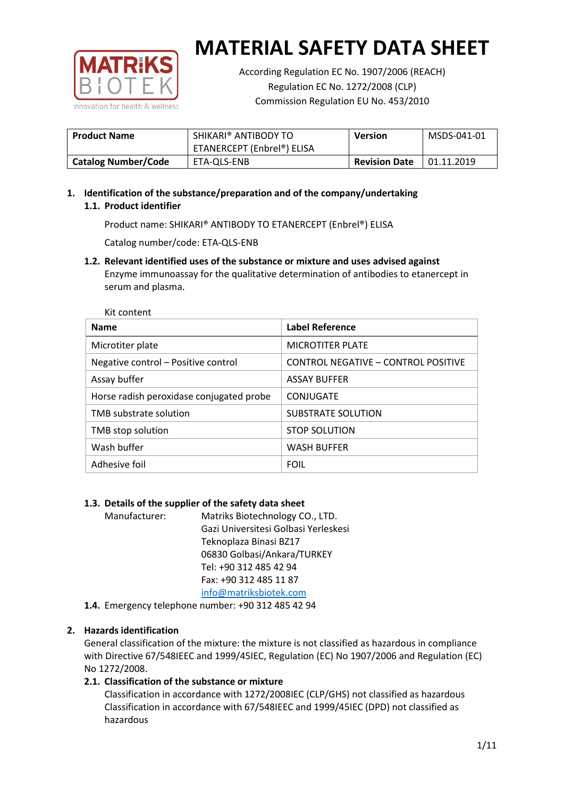

According Regulation EC No. 1907/2006 (REACH) Regulation EC No. 1272/2008 (CLP) Commission Regulation EU No. 453/2010

| <b>Product Name</b>        | SHIKARI® ANTIBODY TO<br>ETANERCEPT (Enbrel®) ELISA | Version              | MSDS-041-01 |
|----------------------------|----------------------------------------------------|----------------------|-------------|
| <b>Catalog Number/Code</b> | ETA-OLS-ENB                                        | <b>Revision Date</b> | 01.11.2019  |

# **1. Identification of the substance/preparation and of the company/undertaking 1.1. Product identifier**

Product name: SHIKARI® ANTIBODY TO ETANERCEPT (Enbrel®) ELISA

Catalog number/code: ETA-QLS-ENB

**1.2. Relevant identified uses of the substance or mixture and uses advised against** Enzyme immunoassay for the qualitative determination of antibodies to etanercept in serum and plasma.

| Kit content                              |                                     |
|------------------------------------------|-------------------------------------|
| <b>Name</b>                              | <b>Label Reference</b>              |
| Microtiter plate                         | <b>MICROTITER PLATE</b>             |
| Negative control - Positive control      | CONTROL NEGATIVE - CONTROL POSITIVE |
| Assay buffer                             | <b>ASSAY BUFFER</b>                 |
| Horse radish peroxidase conjugated probe | CONJUGATE                           |
| TMB substrate solution                   | SUBSTRATE SOLUTION                  |
| TMB stop solution                        | <b>STOP SOLUTION</b>                |
| Wash buffer                              | <b>WASH BUFFER</b>                  |
| Adhesive foil                            | <b>FOIL</b>                         |

## **1.3. Details of the supplier of the safety data sheet**

Manufacturer: Matriks Biotechnology CO., LTD. Gazi Universitesi Golbasi Yerleskesi Teknoplaza Binasi BZ17 06830 Golbasi/Ankara/TURKEY Tel: +90 312 485 42 94 Fax: +90 312 485 11 87 [info@matriksbiotek.com](mailto:info@matriksbiotek.com)

**1.4.** Emergency telephone number: +90 312 485 42 94

## **2. Hazards identification**

General classification of the mixture: the mixture is not classified as hazardous in compliance with Directive 67/548IEEC and 1999/45IEC, Regulation (EC) No 1907/2006 and Regulation (EC) No 1272/2008.

## **2.1. Classification of the substance or mixture**

Classification in accordance with 1272/2008IEC (CLP/GHS) not classified as hazardous Classification in accordance with 67/548IEEC and 1999/45IEC (DPD) not classified as hazardous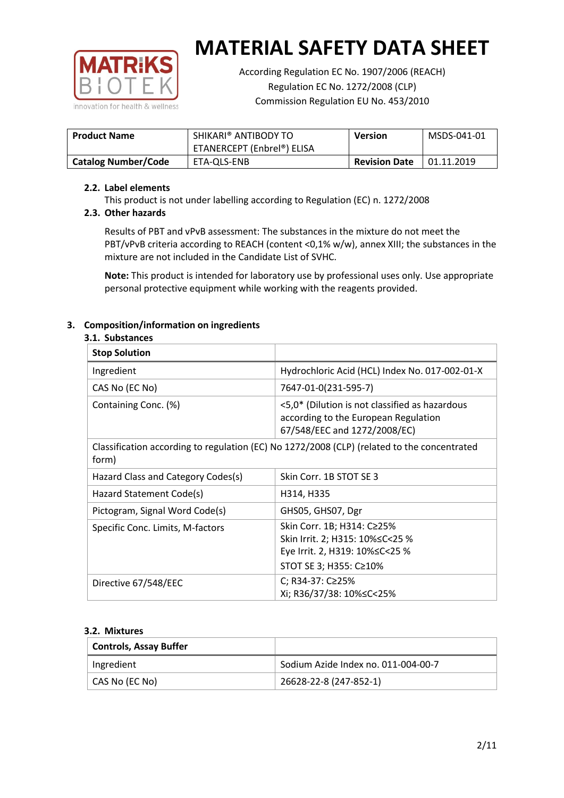

According Regulation EC No. 1907/2006 (REACH) Regulation EC No. 1272/2008 (CLP) Commission Regulation EU No. 453/2010

| <b>Product Name</b>        | SHIKARI® ANTIBODY TO<br>ETANERCEPT (Enbrel®) ELISA | <b>Version</b>       | MSDS-041-01       |
|----------------------------|----------------------------------------------------|----------------------|-------------------|
| <b>Catalog Number/Code</b> | ETA-OLS-ENB                                        | <b>Revision Date</b> | $\mid$ 01.11.2019 |

## **2.2. Label elements**

This product is not under labelling according to Regulation (EC) n. 1272/2008

## **2.3. Other hazards**

Results of PBT and vPvB assessment: The substances in the mixture do not meet the PBT/vPvB criteria according to REACH (content <0,1% w/w), annex XIII; the substances in the mixture are not included in the Candidate List of SVHC.

**Note:** This product is intended for laboratory use by professional uses only. Use appropriate personal protective equipment while working with the reagents provided.

# **3. Composition/information on ingredients**

## **3.1. Substances**

| <b>Stop Solution</b>               |                                                                                                                               |
|------------------------------------|-------------------------------------------------------------------------------------------------------------------------------|
| Ingredient                         | Hydrochloric Acid (HCL) Index No. 017-002-01-X                                                                                |
| CAS No (EC No)                     | 7647-01-0(231-595-7)                                                                                                          |
| Containing Conc. (%)               | <5,0* (Dilution is not classified as hazardous<br>according to the European Regulation<br>67/548/EEC and 1272/2008/EC)        |
| form)                              | Classification according to regulation (EC) No 1272/2008 (CLP) (related to the concentrated                                   |
| Hazard Class and Category Codes(s) | Skin Corr. 1B STOT SE 3                                                                                                       |
| Hazard Statement Code(s)           | H314, H335                                                                                                                    |
| Pictogram, Signal Word Code(s)     | GHS05, GHS07, Dgr                                                                                                             |
| Specific Conc. Limits, M-factors   | Skin Corr. 1B; H314: C≥25%<br>Skin Irrit. 2; H315: 10% ≤ C < 25 %<br>Eye Irrit. 2, H319: 10%≤C<25 %<br>STOT SE 3; H355: C≥10% |
| Directive 67/548/EEC               | C; R34-37: C≥25%<br>Xi; R36/37/38: 10%≤C<25%                                                                                  |

#### **3.2. Mixtures**

| <b>Controls, Assay Buffer</b> |                                     |
|-------------------------------|-------------------------------------|
| Ingredient                    | Sodium Azide Index no. 011-004-00-7 |
| CAS No (EC No)                | 26628-22-8 (247-852-1)              |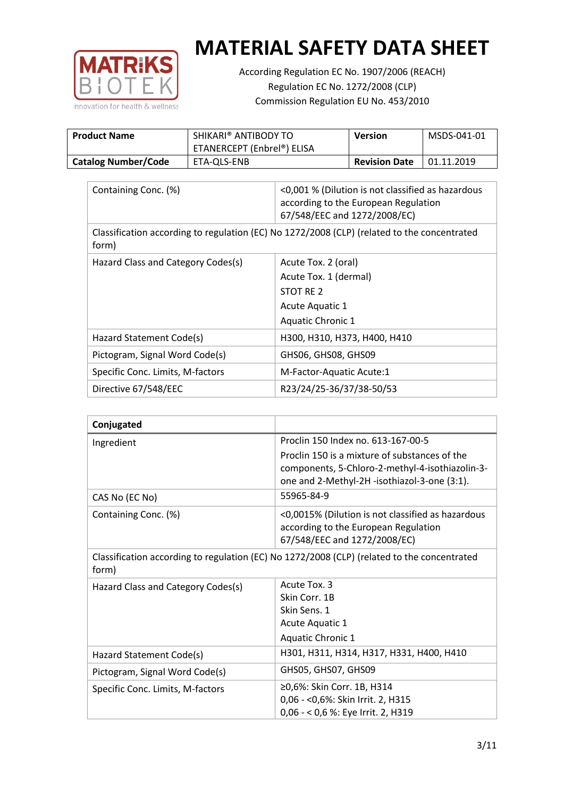

According Regulation EC No. 1907/2006 (REACH) Regulation EC No. 1272/2008 (CLP) Commission Regulation EU No. 453/2010

| <b>Product Name</b>        | SHIKARI® ANTIBODY TO<br>ETANERCEPT (Enbrel®) ELISA | Version              | MSDS-041-01 |
|----------------------------|----------------------------------------------------|----------------------|-------------|
| <b>Catalog Number/Code</b> | ETA-OLS-ENB                                        | <b>Revision Date</b> | 01.11.2019  |

| Containing Conc. (%)                                                                                 | <0,001 % (Dilution is not classified as hazardous<br>according to the European Regulation<br>67/548/EEC and 1272/2008/EC) |  |
|------------------------------------------------------------------------------------------------------|---------------------------------------------------------------------------------------------------------------------------|--|
| Classification according to regulation (EC) No 1272/2008 (CLP) (related to the concentrated<br>form) |                                                                                                                           |  |
| Hazard Class and Category Codes(s)                                                                   | Acute Tox. 2 (oral)                                                                                                       |  |
|                                                                                                      | Acute Tox. 1 (dermal)                                                                                                     |  |
|                                                                                                      | STOT RE 2                                                                                                                 |  |
|                                                                                                      | Acute Aquatic 1                                                                                                           |  |
|                                                                                                      | <b>Aquatic Chronic 1</b>                                                                                                  |  |
| Hazard Statement Code(s)                                                                             | H300, H310, H373, H400, H410                                                                                              |  |
| Pictogram, Signal Word Code(s)                                                                       | GHS06, GHS08, GHS09                                                                                                       |  |
| Specific Conc. Limits, M-factors                                                                     | M-Factor-Aquatic Acute:1                                                                                                  |  |
| Directive 67/548/EEC                                                                                 | R23/24/25-36/37/38-50/53                                                                                                  |  |

| Conjugated                                                                                           |                                                                                                                                                  |  |
|------------------------------------------------------------------------------------------------------|--------------------------------------------------------------------------------------------------------------------------------------------------|--|
| Ingredient                                                                                           | Proclin 150 Index no. 613-167-00-5                                                                                                               |  |
|                                                                                                      | Proclin 150 is a mixture of substances of the<br>components, 5-Chloro-2-methyl-4-isothiazolin-3-<br>one and 2-Methyl-2H -isothiazol-3-one (3:1). |  |
| CAS No (EC No)                                                                                       | 55965-84-9                                                                                                                                       |  |
| Containing Conc. (%)                                                                                 | <0,0015% (Dilution is not classified as hazardous<br>according to the European Regulation<br>67/548/EEC and 1272/2008/EC)                        |  |
| Classification according to regulation (EC) No 1272/2008 (CLP) (related to the concentrated<br>form) |                                                                                                                                                  |  |
| Hazard Class and Category Codes(s)                                                                   | Acute Tox. 3                                                                                                                                     |  |
|                                                                                                      | Skin Corr. 1B                                                                                                                                    |  |
|                                                                                                      | Skin Sens. 1                                                                                                                                     |  |
|                                                                                                      | <b>Acute Aquatic 1</b>                                                                                                                           |  |
|                                                                                                      | Aquatic Chronic 1                                                                                                                                |  |
| Hazard Statement Code(s)                                                                             | H301, H311, H314, H317, H331, H400, H410                                                                                                         |  |
| Pictogram, Signal Word Code(s)                                                                       | GHS05, GHS07, GHS09                                                                                                                              |  |
| Specific Conc. Limits, M-factors                                                                     | ≥0,6%: Skin Corr. 1B, H314                                                                                                                       |  |
|                                                                                                      | 0,06 - < 0,6%: Skin Irrit. 2, H315                                                                                                               |  |
|                                                                                                      | 0,06 - < 0,6 %: Eye Irrit. 2, H319                                                                                                               |  |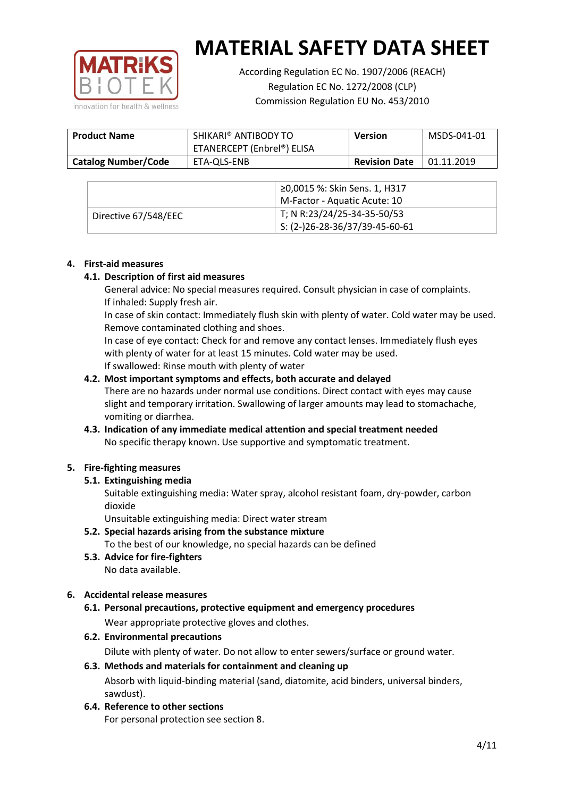

According Regulation EC No. 1907/2006 (REACH) Regulation EC No. 1272/2008 (CLP) Commission Regulation EU No. 453/2010

| <b>Product Name</b>        | SHIKARI® ANTIBODY TO<br>ETANERCEPT (Enbrel®) ELISA | <b>Version</b>       | MSDS-041-01 |
|----------------------------|----------------------------------------------------|----------------------|-------------|
| <b>Catalog Number/Code</b> | ETA-QLS-ENB                                        | <b>Revision Date</b> | 01.11.2019  |

|                      | ≥0,0015 %: Skin Sens. 1, H317                |
|----------------------|----------------------------------------------|
|                      | M-Factor - Aquatic Acute: 10                 |
| Directive 67/548/EEC | T; N R:23/24/25-34-35-50/53                  |
|                      | $\frac{1}{1}$ S: (2-)26-28-36/37/39-45-60-61 |

## **4. First-aid measures**

## **4.1. Description of first aid measures**

General advice: No special measures required. Consult physician in case of complaints. If inhaled: Supply fresh air.

In case of skin contact: Immediately flush skin with plenty of water. Cold water may be used. Remove contaminated clothing and shoes.

In case of eye contact: Check for and remove any contact lenses. Immediately flush eyes with plenty of water for at least 15 minutes. Cold water may be used. If swallowed: Rinse mouth with plenty of water

## **4.2. Most important symptoms and effects, both accurate and delayed**

There are no hazards under normal use conditions. Direct contact with eyes may cause slight and temporary irritation. Swallowing of larger amounts may lead to stomachache, vomiting or diarrhea.

## **4.3. Indication of any immediate medical attention and special treatment needed** No specific therapy known. Use supportive and symptomatic treatment.

## **5. Fire-fighting measures**

## **5.1. Extinguishing media**

Suitable extinguishing media: Water spray, alcohol resistant foam, dry-powder, carbon dioxide

Unsuitable extinguishing media: Direct water stream

- **5.2. Special hazards arising from the substance mixture** To the best of our knowledge, no special hazards can be defined
- **5.3. Advice for fire-fighters** No data available.

## **6. Accidental release measures**

- **6.1. Personal precautions, protective equipment and emergency procedures** Wear appropriate protective gloves and clothes.
- **6.2. Environmental precautions**

Dilute with plenty of water. Do not allow to enter sewers/surface or ground water.

#### **6.3. Methods and materials for containment and cleaning up**

Absorb with liquid-binding material (sand, diatomite, acid binders, universal binders, sawdust).

**6.4. Reference to other sections**

For personal protection see section 8.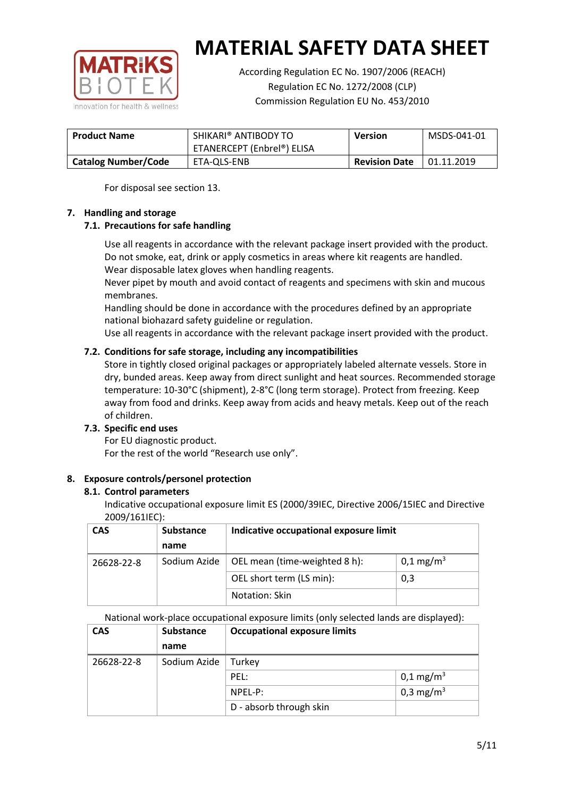

According Regulation EC No. 1907/2006 (REACH) Regulation EC No. 1272/2008 (CLP) Commission Regulation EU No. 453/2010

| <b>Product Name</b>        | SHIKARI® ANTIBODY TO<br>ETANERCEPT (Enbrel®) ELISA | <b>Version</b>       | MSDS-041-01 |
|----------------------------|----------------------------------------------------|----------------------|-------------|
| <b>Catalog Number/Code</b> | ETA-OLS-ENB                                        | <b>Revision Date</b> | 01.11.2019  |

For disposal see section 13.

## **7. Handling and storage**

## **7.1. Precautions for safe handling**

Use all reagents in accordance with the relevant package insert provided with the product. Do not smoke, eat, drink or apply cosmetics in areas where kit reagents are handled. Wear disposable latex gloves when handling reagents.

Never pipet by mouth and avoid contact of reagents and specimens with skin and mucous membranes.

Handling should be done in accordance with the procedures defined by an appropriate national biohazard safety guideline or regulation.

Use all reagents in accordance with the relevant package insert provided with the product.

## **7.2. Conditions for safe storage, including any incompatibilities**

Store in tightly closed original packages or appropriately labeled alternate vessels. Store in dry, bunded areas. Keep away from direct sunlight and heat sources. Recommended storage temperature: 10-30°C (shipment), 2-8°C (long term storage). Protect from freezing. Keep away from food and drinks. Keep away from acids and heavy metals. Keep out of the reach of children.

## **7.3. Specific end uses**

For EU diagnostic product. For the rest of the world "Research use only".

## **8. Exposure controls/personel protection**

#### **8.1. Control parameters**

Indicative occupational exposure limit ES (2000/39IEC, Directive 2006/15IEC and Directive 2009/161IEC):

| <b>CAS</b> | <b>Substance</b> | Indicative occupational exposure limit |                         |
|------------|------------------|----------------------------------------|-------------------------|
|            | name             |                                        |                         |
| 26628-22-8 | Sodium Azide     | OEL mean (time-weighted 8 h):          | $0,1 \,\mathrm{mg/m^3}$ |
|            |                  | OEL short term (LS min):               | 0,3                     |
|            |                  | Notation: Skin                         |                         |

National work-place occupational exposure limits (only selected lands are displayed):

| <b>CAS</b> | <b>Substance</b> | <b>Occupational exposure limits</b> |                         |
|------------|------------------|-------------------------------------|-------------------------|
|            | name             |                                     |                         |
| 26628-22-8 | Sodium Azide     | Turkey                              |                         |
|            |                  | PEL:                                | $0,1 \,\mathrm{mg/m^3}$ |
|            |                  | $NPEL-P$ :                          | 0,3 mg/m <sup>3</sup>   |
|            |                  | D - absorb through skin             |                         |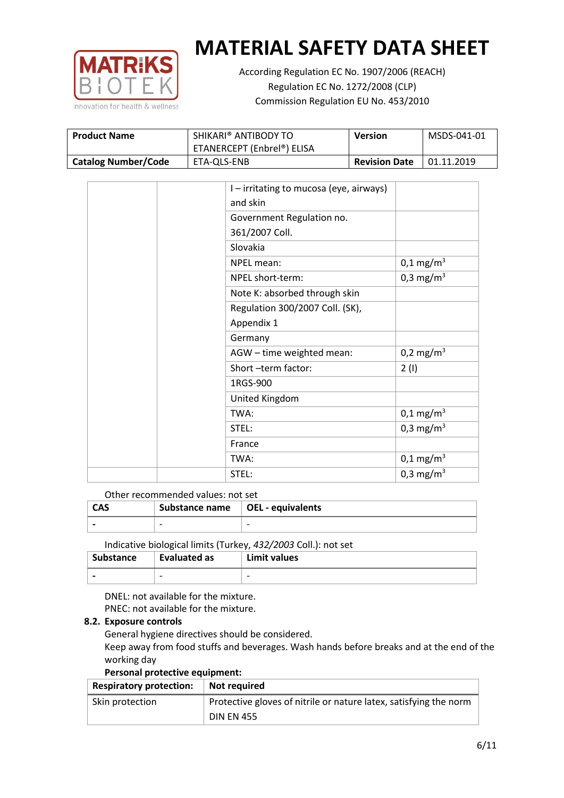

According Regulation EC No. 1907/2006 (REACH) Regulation EC No. 1272/2008 (CLP) Commission Regulation EU No. 453/2010

| <b>Product Name</b>        | SHIKARI® ANTIBODY TO<br>ETANERCEPT (Enbrel®) ELISA | Version              | MSDS-041-01 |
|----------------------------|----------------------------------------------------|----------------------|-------------|
| <b>Catalog Number/Code</b> | ETA-OLS-ENB                                        | <b>Revision Date</b> | 01.11.2019  |

|  | I - irritating to mucosa (eye, airways) |                         |
|--|-----------------------------------------|-------------------------|
|  | and skin                                |                         |
|  | Government Regulation no.               |                         |
|  | 361/2007 Coll.                          |                         |
|  | Slovakia                                |                         |
|  | NPEL mean:                              | $0,1 \text{ mg/m}^3$    |
|  | NPEL short-term:                        | $0,3$ mg/m <sup>3</sup> |
|  | Note K: absorbed through skin           |                         |
|  | Regulation 300/2007 Coll. (SK),         |                         |
|  | Appendix 1                              |                         |
|  | Germany                                 |                         |
|  | AGW - time weighted mean:               | 0,2 mg/m <sup>3</sup>   |
|  | Short-term factor:                      | 2(1)                    |
|  | 1RGS-900                                |                         |
|  | United Kingdom                          |                         |
|  | TWA:                                    | $0,1 \,\mathrm{mg/m^3}$ |
|  | STEL:                                   | 0,3 mg/m <sup>3</sup>   |
|  | France                                  |                         |
|  | TWA:                                    | $0,1 \text{ mg/m}^3$    |
|  | STEL:                                   | 0,3 mg/m <sup>3</sup>   |

#### Other recommended values: not set

| <b>CAS</b> | Substance name $\vert$ OEL - equivalents |  |
|------------|------------------------------------------|--|
|            | $\overline{\phantom{0}}$                 |  |
|            |                                          |  |

Indicative biological limits (Turkey, *432/2003* Coll.): not set

| Substance                | Evaluated as             | Limit values             |
|--------------------------|--------------------------|--------------------------|
| $\overline{\phantom{0}}$ | $\overline{\phantom{0}}$ | $\overline{\phantom{0}}$ |

DNEL: not available for the mixture. PNEC: not available for the mixture.

## **8.2. Exposure controls**

General hygiene directives should be considered.

Keep away from food stuffs and beverages. Wash hands before breaks and at the end of the working day

#### **Personal protective equipment:**

| <b>Respiratory protection:</b> | Not required                                                      |
|--------------------------------|-------------------------------------------------------------------|
| Skin protection                | Protective gloves of nitrile or nature latex, satisfying the norm |
|                                | <b>DIN EN 455</b>                                                 |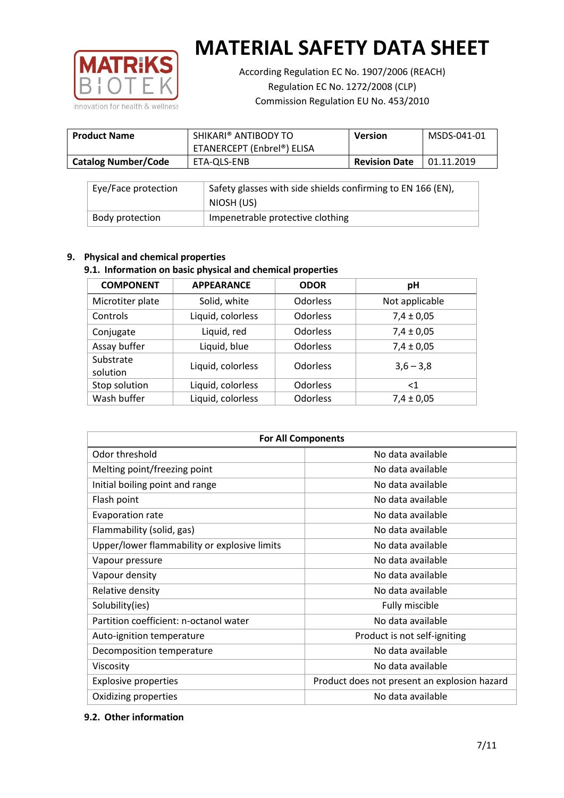

According Regulation EC No. 1907/2006 (REACH) Regulation EC No. 1272/2008 (CLP) Commission Regulation EU No. 453/2010

| <b>Product Name</b>        | SHIKARI® ANTIBODY TO<br>ETANERCEPT (Enbrel®) ELISA | <b>Version</b>       | MSDS-041-01 |
|----------------------------|----------------------------------------------------|----------------------|-------------|
| <b>Catalog Number/Code</b> | ETA-OLS-ENB                                        | <b>Revision Date</b> | 01.11.2019  |

| Eye/Face protection | Safety glasses with side shields confirming to EN 166 (EN),<br>NIOSH (US) |
|---------------------|---------------------------------------------------------------------------|
| Body protection     | Impenetrable protective clothing                                          |

## **9. Physical and chemical properties**

## **9.1. Information on basic physical and chemical properties**

| <b>COMPONENT</b>      | <b>APPEARANCE</b> | <b>ODOR</b>     | pH             |
|-----------------------|-------------------|-----------------|----------------|
| Microtiter plate      | Solid, white      | <b>Odorless</b> | Not applicable |
| Controls              | Liquid, colorless | <b>Odorless</b> | $7,4 \pm 0,05$ |
| Conjugate             | Liquid, red       | <b>Odorless</b> | $7,4 \pm 0,05$ |
| Assay buffer          | Liquid, blue      | <b>Odorless</b> | $7,4 \pm 0,05$ |
| Substrate<br>solution | Liquid, colorless | <b>Odorless</b> | $3,6 - 3,8$    |
| Stop solution         | Liquid, colorless | <b>Odorless</b> | ${<}1$         |
| Wash buffer           | Liquid, colorless | Odorless        | $7,4 \pm 0,05$ |

| <b>For All Components</b>                    |                                              |  |  |
|----------------------------------------------|----------------------------------------------|--|--|
| Odor threshold                               | No data available                            |  |  |
| Melting point/freezing point                 | No data available                            |  |  |
| Initial boiling point and range              | No data available                            |  |  |
| Flash point                                  | No data available                            |  |  |
| Evaporation rate                             | No data available                            |  |  |
| Flammability (solid, gas)                    | No data available                            |  |  |
| Upper/lower flammability or explosive limits | No data available                            |  |  |
| Vapour pressure                              | No data available                            |  |  |
| Vapour density                               | No data available                            |  |  |
| Relative density                             | No data available                            |  |  |
| Solubility(ies)                              | Fully miscible                               |  |  |
| Partition coefficient: n-octanol water       | No data available                            |  |  |
| Auto-ignition temperature                    | Product is not self-igniting                 |  |  |
| Decomposition temperature                    | No data available                            |  |  |
| Viscosity                                    | No data available                            |  |  |
| <b>Explosive properties</b>                  | Product does not present an explosion hazard |  |  |
| Oxidizing properties                         | No data available                            |  |  |

## **9.2. Other information**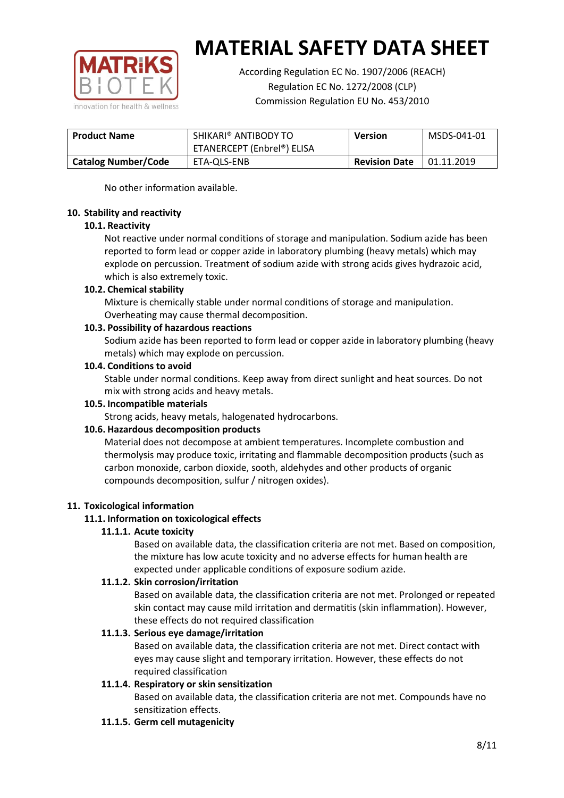

According Regulation EC No. 1907/2006 (REACH) Regulation EC No. 1272/2008 (CLP) Commission Regulation EU No. 453/2010

| <b>Product Name</b>        | SHIKARI® ANTIBODY TO<br>ETANERCEPT (Enbrel®) ELISA | <b>Version</b>       | MSDS-041-01 |
|----------------------------|----------------------------------------------------|----------------------|-------------|
| <b>Catalog Number/Code</b> | ETA-OLS-ENB                                        | <b>Revision Date</b> | 01.11.2019  |

No other information available.

## **10. Stability and reactivity**

## **10.1. Reactivity**

Not reactive under normal conditions of storage and manipulation. Sodium azide has been reported to form lead or copper azide in laboratory plumbing (heavy metals) which may explode on percussion. Treatment of sodium azide with strong acids gives hydrazoic acid, which is also extremely toxic.

## **10.2. Chemical stability**

Mixture is chemically stable under normal conditions of storage and manipulation. Overheating may cause thermal decomposition.

## **10.3. Possibility of hazardous reactions**

Sodium azide has been reported to form lead or copper azide in laboratory plumbing (heavy metals) which may explode on percussion.

#### **10.4. Conditions to avoid**

Stable under normal conditions. Keep away from direct sunlight and heat sources. Do not mix with strong acids and heavy metals.

#### **10.5. Incompatible materials**

Strong acids, heavy metals, halogenated hydrocarbons.

## **10.6. Hazardous decomposition products**

Material does not decompose at ambient temperatures. Incomplete combustion and thermolysis may produce toxic, irritating and flammable decomposition products (such as carbon monoxide, carbon dioxide, sooth, aldehydes and other products of organic compounds decomposition, sulfur / nitrogen oxides).

## **11. Toxicological information**

## **11.1. Information on toxicological effects**

#### **11.1.1. Acute toxicity**

Based on available data, the classification criteria are not met. Based on composition, the mixture has low acute toxicity and no adverse effects for human health are expected under applicable conditions of exposure sodium azide.

#### **11.1.2. Skin corrosion/irritation**

Based on available data, the classification criteria are not met. Prolonged or repeated skin contact may cause mild irritation and dermatitis (skin inflammation). However, these effects do not required classification

## **11.1.3. Serious eye damage/irritation**

Based on available data, the classification criteria are not met. Direct contact with eyes may cause slight and temporary irritation. However, these effects do not required classification

## **11.1.4. Respiratory or skin sensitization**

Based on available data, the classification criteria are not met. Compounds have no sensitization effects.

#### **11.1.5. Germ cell mutagenicity**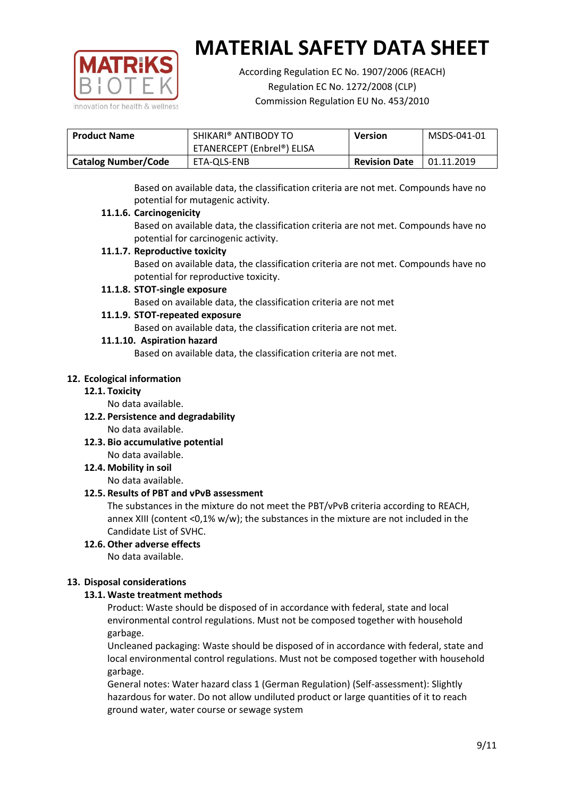

According Regulation EC No. 1907/2006 (REACH) Regulation EC No. 1272/2008 (CLP) Commission Regulation EU No. 453/2010

| <b>Product Name</b>        | SHIKARI® ANTIBODY TO       | <b>Version</b>       | MSDS-041-01 |
|----------------------------|----------------------------|----------------------|-------------|
|                            | ETANERCEPT (Enbrel®) ELISA |                      |             |
| <b>Catalog Number/Code</b> | ETA-QLS-ENB                | <b>Revision Date</b> | 01.11.2019  |

Based on available data, the classification criteria are not met. Compounds have no potential for mutagenic activity.

## **11.1.6. Carcinogenicity**

Based on available data, the classification criteria are not met. Compounds have no potential for carcinogenic activity.

## **11.1.7. Reproductive toxicity**

Based on available data, the classification criteria are not met. Compounds have no potential for reproductive toxicity.

## **11.1.8. STOT-single exposure**

Based on available data, the classification criteria are not met

## **11.1.9. STOT-repeated exposure**

Based on available data, the classification criteria are not met.

## **11.1.10. Aspiration hazard**

Based on available data, the classification criteria are not met.

## **12. Ecological information**

#### **12.1. Toxicity**

No data available.

- **12.2. Persistence and degradability** No data available.
- **12.3. Bio accumulative potential** No data available.

**12.4. Mobility in soil**

No data available.

## **12.5. Results of PBT and vPvB assessment**

The substances in the mixture do not meet the PBT/vPvB criteria according to REACH, annex XIII (content <0,1% w/w); the substances in the mixture are not included in the Candidate List of SVHC.

#### **12.6. Other adverse effects** No data available.

## **13. Disposal considerations**

## **13.1. Waste treatment methods**

Product: Waste should be disposed of in accordance with federal, state and local environmental control regulations. Must not be composed together with household garbage.

Uncleaned packaging: Waste should be disposed of in accordance with federal, state and local environmental control regulations. Must not be composed together with household garbage.

General notes: Water hazard class 1 (German Regulation) (Self-assessment): Slightly hazardous for water. Do not allow undiluted product or large quantities of it to reach ground water, water course or sewage system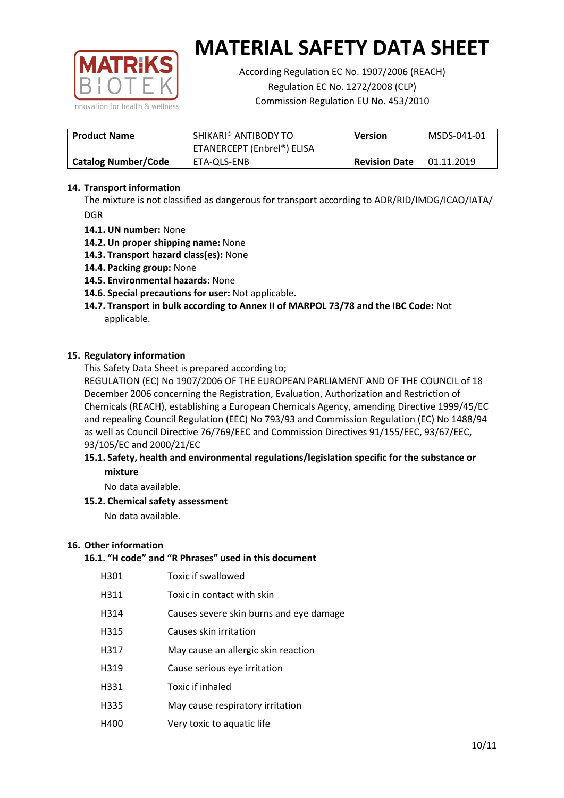

According Regulation EC No. 1907/2006 (REACH) Regulation EC No. 1272/2008 (CLP) Commission Regulation EU No. 453/2010

| <b>Product Name</b>        | SHIKARI® ANTIBODY TO<br>ETANERCEPT (Enbrel®) ELISA | <b>Version</b>       | MSDS-041-01 |
|----------------------------|----------------------------------------------------|----------------------|-------------|
| <b>Catalog Number/Code</b> | ETA-OLS-ENB                                        | <b>Revision Date</b> | 01.11.2019  |

## **14. Transport information**

The mixture is not classified as dangerous for transport according to ADR/RID/IMDG/ICAO/IATA/ DGR

- **14.1. UN number:** None
- **14.2. Un proper shipping name:** None
- **14.3. Transport hazard class(es):** None
- **14.4. Packing group:** None
- **14.5. Environmental hazards:** None
- **14.6. Special precautions for user:** Not applicable.
- **14.7. Transport in bulk according to Annex II of MARPOL 73/78 and the IBC Code:** Not applicable.

#### **15. Regulatory information**

This Safety Data Sheet is prepared according to;

REGULATION (EC) No 1907/2006 OF THE EUROPEAN PARLIAMENT AND OF THE COUNCIL of 18 December 2006 concerning the Registration, Evaluation, Authorization and Restriction of Chemicals (REACH), establishing a European Chemicals Agency, amending Directive 1999/45/EC and repealing Council Regulation (EEC) No 793/93 and Commission Regulation (EC) No 1488/94 as well as Council Directive 76/769/EEC and Commission Directives 91/155/EEC, 93/67/EEC, 93/105/EC and 2000/21/EC

## **15.1. Safety, health and environmental regulations/legislation specific for the substance or mixture**

No data available.

## **15.2. Chemical safety assessment**

No data available.

#### **16. Other information**

# **16.1. "H code" and "R Phrases" used in this document**

| H301 | Toxic if swallowed |
|------|--------------------|
|------|--------------------|

- H311 Toxic in contact with skin
- H314 Causes severe skin burns and eye damage
- H315 Causes skin irritation
- H317 May cause an allergic skin reaction
- H319 Cause serious eye irritation
- H331 Toxic if inhaled
- H335 May cause respiratory irritation
- H400 Very toxic to aquatic life